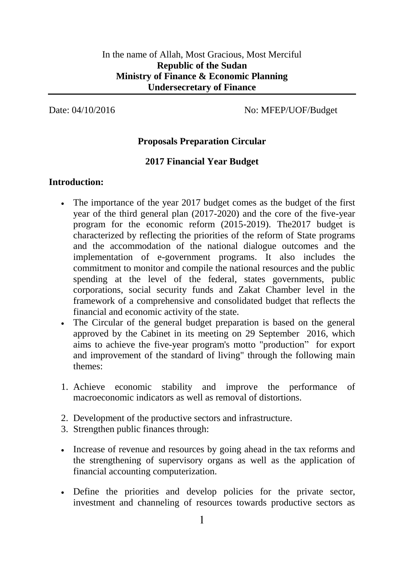Date: 04/10/2016 No: MFEP/UOF/Budget

## **Proposals Preparation Circular**

### **2017 Financial Year Budget**

#### **Introduction:**

- The importance of the year 2017 budget comes as the budget of the first year of the third general plan (2017-2020) and the core of the five-year program for the economic reform (2015-2019). The2017 budget is characterized by reflecting the priorities of the reform of State programs and the accommodation of the national dialogue outcomes and the implementation of e-government programs. It also includes the commitment to monitor and compile the national resources and the public spending at the level of the federal, states governments, public corporations, social security funds and Zakat Chamber level in the framework of a comprehensive and consolidated budget that reflects the financial and economic activity of the state.
- The Circular of the general budget preparation is based on the general approved by the Cabinet in its meeting on 29 September 2016, which aims to achieve the five-year program's motto "production" for export and improvement of the standard of living" through the following main themes:
- 1. Achieve economic stability and improve the performance of macroeconomic indicators as well as removal of distortions.
- 2. Development of the productive sectors and infrastructure.
- 3. Strengthen public finances through:
- Increase of revenue and resources by going ahead in the tax reforms and the strengthening of supervisory organs as well as the application of financial accounting computerization.
- Define the priorities and develop policies for the private sector, investment and channeling of resources towards productive sectors as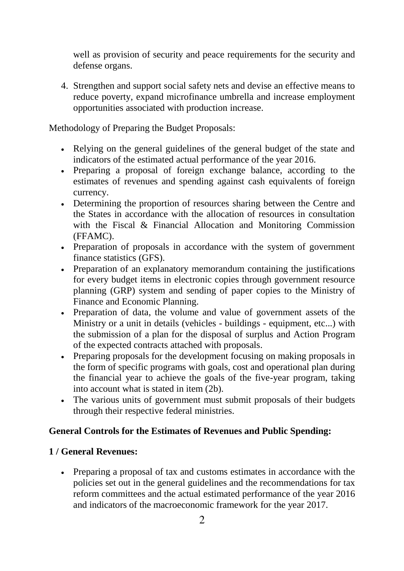well as provision of security and peace requirements for the security and defense organs.

4. Strengthen and support social safety nets and devise an effective means to reduce poverty, expand microfinance umbrella and increase employment opportunities associated with production increase.

Methodology of Preparing the Budget Proposals:

- Relying on the general guidelines of the general budget of the state and indicators of the estimated actual performance of the year 2016.
- Preparing a proposal of foreign exchange balance, according to the estimates of revenues and spending against cash equivalents of foreign currency.
- Determining the proportion of resources sharing between the Centre and the States in accordance with the allocation of resources in consultation with the Fiscal & Financial Allocation and Monitoring Commission (FFAMC).
- Preparation of proposals in accordance with the system of government finance statistics (GFS).
- Preparation of an explanatory memorandum containing the justifications for every budget items in electronic copies through government resource planning (GRP) system and sending of paper copies to the Ministry of Finance and Economic Planning.
- Preparation of data, the volume and value of government assets of the Ministry or a unit in details (vehicles - buildings - equipment, etc...) with the submission of a plan for the disposal of surplus and Action Program of the expected contracts attached with proposals.
- Preparing proposals for the development focusing on making proposals in the form of specific programs with goals, cost and operational plan during the financial year to achieve the goals of the five-year program, taking into account what is stated in item (2b).
- The various units of government must submit proposals of their budgets through their respective federal ministries.

### **General Controls for the Estimates of Revenues and Public Spending:**

### **1 / General Revenues:**

• Preparing a proposal of tax and customs estimates in accordance with the policies set out in the general guidelines and the recommendations for tax reform committees and the actual estimated performance of the year 2016 and indicators of the macroeconomic framework for the year 2017.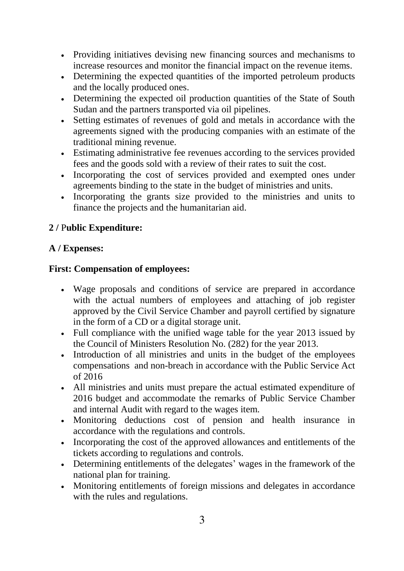- Providing initiatives devising new financing sources and mechanisms to increase resources and monitor the financial impact on the revenue items.
- Determining the expected quantities of the imported petroleum products and the locally produced ones.
- Determining the expected oil production quantities of the State of South Sudan and the partners transported via oil pipelines.
- Setting estimates of revenues of gold and metals in accordance with the agreements signed with the producing companies with an estimate of the traditional mining revenue.
- Estimating administrative fee revenues according to the services provided fees and the goods sold with a review of their rates to suit the cost.
- Incorporating the cost of services provided and exempted ones under agreements binding to the state in the budget of ministries and units.
- Incorporating the grants size provided to the ministries and units to finance the projects and the humanitarian aid.

# **2 /** P**ublic Expenditure:**

# **A / Expenses:**

## **First: Compensation of employees:**

- Wage proposals and conditions of service are prepared in accordance with the actual numbers of employees and attaching of job register approved by the Civil Service Chamber and payroll certified by signature in the form of a CD or a digital storage unit.
- Full compliance with the unified wage table for the year 2013 issued by the Council of Ministers Resolution No. (282) for the year 2013.
- Introduction of all ministries and units in the budget of the employees compensations and non-breach in accordance with the Public Service Act of 2016
- All ministries and units must prepare the actual estimated expenditure of 2016 budget and accommodate the remarks of Public Service Chamber and internal Audit with regard to the wages item.
- Monitoring deductions cost of pension and health insurance in accordance with the regulations and controls.
- Incorporating the cost of the approved allowances and entitlements of the tickets according to regulations and controls.
- Determining entitlements of the delegates' wages in the framework of the national plan for training.
- Monitoring entitlements of foreign missions and delegates in accordance with the rules and regulations.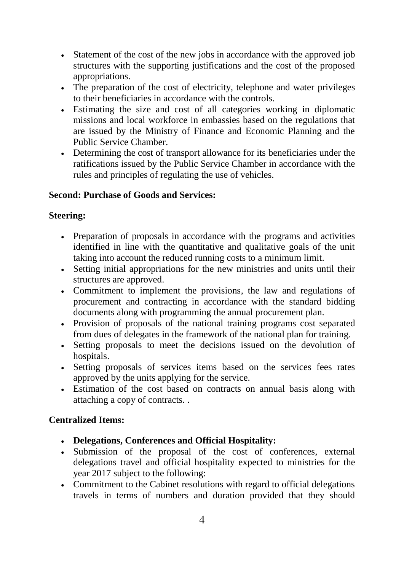- Statement of the cost of the new jobs in accordance with the approved job structures with the supporting justifications and the cost of the proposed appropriations.
- The preparation of the cost of electricity, telephone and water privileges to their beneficiaries in accordance with the controls.
- Estimating the size and cost of all categories working in diplomatic missions and local workforce in embassies based on the regulations that are issued by the Ministry of Finance and Economic Planning and the Public Service Chamber.
- Determining the cost of transport allowance for its beneficiaries under the ratifications issued by the Public Service Chamber in accordance with the rules and principles of regulating the use of vehicles.

## **Second: Purchase of Goods and Services:**

## **Steering:**

- Preparation of proposals in accordance with the programs and activities identified in line with the quantitative and qualitative goals of the unit taking into account the reduced running costs to a minimum limit.
- Setting initial appropriations for the new ministries and units until their structures are approved.
- Commitment to implement the provisions, the law and regulations of procurement and contracting in accordance with the standard bidding documents along with programming the annual procurement plan.
- Provision of proposals of the national training programs cost separated from dues of delegates in the framework of the national plan for training.
- Setting proposals to meet the decisions issued on the devolution of hospitals.
- Setting proposals of services items based on the services fees rates approved by the units applying for the service.
- Estimation of the cost based on contracts on annual basis along with attaching a copy of contracts. .

# **Centralized Items:**

- **Delegations, Conferences and Official Hospitality:**
- Submission of the proposal of the cost of conferences, external delegations travel and official hospitality expected to ministries for the year 2017 subject to the following:
- Commitment to the Cabinet resolutions with regard to official delegations travels in terms of numbers and duration provided that they should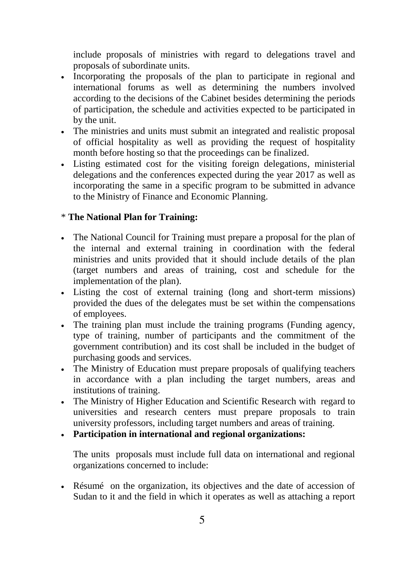include proposals of ministries with regard to delegations travel and proposals of subordinate units.

- Incorporating the proposals of the plan to participate in regional and international forums as well as determining the numbers involved according to the decisions of the Cabinet besides determining the periods of participation, the schedule and activities expected to be participated in by the unit.
- The ministries and units must submit an integrated and realistic proposal of official hospitality as well as providing the request of hospitality month before hosting so that the proceedings can be finalized.
- Listing estimated cost for the visiting foreign delegations, ministerial delegations and the conferences expected during the year 2017 as well as incorporating the same in a specific program to be submitted in advance to the Ministry of Finance and Economic Planning.

#### \* **The National Plan for Training:**

- The National Council for Training must prepare a proposal for the plan of the internal and external training in coordination with the federal ministries and units provided that it should include details of the plan (target numbers and areas of training, cost and schedule for the implementation of the plan).
- Listing the cost of external training (long and short-term missions) provided the dues of the delegates must be set within the compensations of employees.
- The training plan must include the training programs (Funding agency, type of training, number of participants and the commitment of the government contribution) and its cost shall be included in the budget of purchasing goods and services.
- The Ministry of Education must prepare proposals of qualifying teachers in accordance with a plan including the target numbers, areas and institutions of training.
- The Ministry of Higher Education and Scientific Research with regard to universities and research centers must prepare proposals to train university professors, including target numbers and areas of training.
- **Participation in international and regional organizations:**

The units proposals must include full data on international and regional organizations concerned to include:

• Résumé on the organization, its objectives and the date of accession of Sudan to it and the field in which it operates as well as attaching a report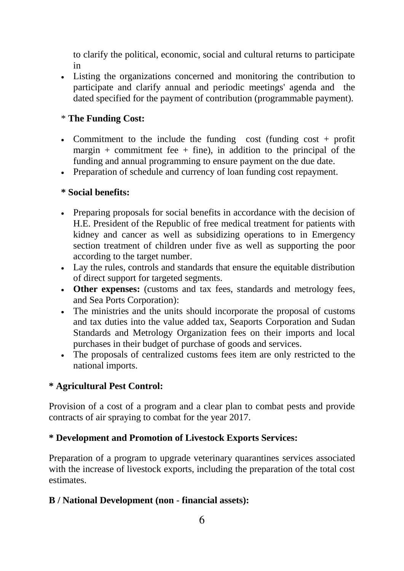to clarify the political, economic, social and cultural returns to participate in

• Listing the organizations concerned and monitoring the contribution to participate and clarify annual and periodic meetings' agenda and the dated specified for the payment of contribution (programmable payment).

#### \* **The Funding Cost:**

- Commitment to the include the funding cost (funding cost + profit margin + commitment fee + fine), in addition to the principal of the funding and annual programming to ensure payment on the due date.
- Preparation of schedule and currency of loan funding cost repayment.

#### **\* Social benefits:**

- Preparing proposals for social benefits in accordance with the decision of H.E. President of the Republic of free medical treatment for patients with kidney and cancer as well as subsidizing operations to in Emergency section treatment of children under five as well as supporting the poor according to the target number.
- Lay the rules, controls and standards that ensure the equitable distribution of direct support for targeted segments.
- **Other expenses:** (customs and tax fees, standards and metrology fees, and Sea Ports Corporation):
- The ministries and the units should incorporate the proposal of customs and tax duties into the value added tax, Seaports Corporation and Sudan Standards and Metrology Organization fees on their imports and local purchases in their budget of purchase of goods and services.
- The proposals of centralized customs fees item are only restricted to the national imports.

### **\* Agricultural Pest Control:**

Provision of a cost of a program and a clear plan to combat pests and provide contracts of air spraying to combat for the year 2017.

#### **\* Development and Promotion of Livestock Exports Services:**

Preparation of a program to upgrade veterinary quarantines services associated with the increase of livestock exports, including the preparation of the total cost estimates.

#### **B / National Development (non** - **financial assets):**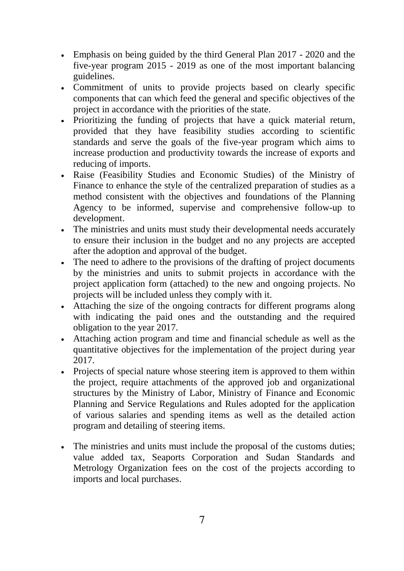- Emphasis on being guided by the third General Plan 2017 2020 and the five-year program 2015 - 2019 as one of the most important balancing guidelines.
- Commitment of units to provide projects based on clearly specific components that can which feed the general and specific objectives of the project in accordance with the priorities of the state.
- Prioritizing the funding of projects that have a quick material return, provided that they have feasibility studies according to scientific standards and serve the goals of the five-year program which aims to increase production and productivity towards the increase of exports and reducing of imports.
- Raise (Feasibility Studies and Economic Studies) of the Ministry of Finance to enhance the style of the centralized preparation of studies as a method consistent with the objectives and foundations of the Planning Agency to be informed, supervise and comprehensive follow-up to development.
- The ministries and units must study their developmental needs accurately to ensure their inclusion in the budget and no any projects are accepted after the adoption and approval of the budget.
- The need to adhere to the provisions of the drafting of project documents by the ministries and units to submit projects in accordance with the project application form (attached) to the new and ongoing projects. No projects will be included unless they comply with it.
- Attaching the size of the ongoing contracts for different programs along with indicating the paid ones and the outstanding and the required obligation to the year 2017.
- Attaching action program and time and financial schedule as well as the quantitative objectives for the implementation of the project during year 2017.
- Projects of special nature whose steering item is approved to them within the project, require attachments of the approved job and organizational structures by the Ministry of Labor, Ministry of Finance and Economic Planning and Service Regulations and Rules adopted for the application of various salaries and spending items as well as the detailed action program and detailing of steering items.
- The ministries and units must include the proposal of the customs duties; value added tax, Seaports Corporation and Sudan Standards and Metrology Organization fees on the cost of the projects according to imports and local purchases.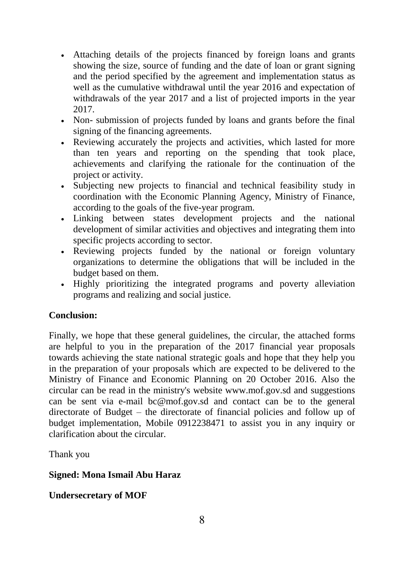- Attaching details of the projects financed by foreign loans and grants showing the size, source of funding and the date of loan or grant signing and the period specified by the agreement and implementation status as well as the cumulative withdrawal until the year 2016 and expectation of withdrawals of the year 2017 and a list of projected imports in the year 2017.
- Non- submission of projects funded by loans and grants before the final signing of the financing agreements.
- Reviewing accurately the projects and activities, which lasted for more than ten years and reporting on the spending that took place, achievements and clarifying the rationale for the continuation of the project or activity.
- Subjecting new projects to financial and technical feasibility study in coordination with the Economic Planning Agency, Ministry of Finance, according to the goals of the five-year program.
- Linking between states development projects and the national development of similar activities and objectives and integrating them into specific projects according to sector.
- Reviewing projects funded by the national or foreign voluntary organizations to determine the obligations that will be included in the budget based on them.
- Highly prioritizing the integrated programs and poverty alleviation programs and realizing and social justice.

# **Conclusion:**

Finally, we hope that these general guidelines, the circular, the attached forms are helpful to you in the preparation of the 2017 financial year proposals towards achieving the state national strategic goals and hope that they help you in the preparation of your proposals which are expected to be delivered to the Ministry of Finance and Economic Planning on 20 October 2016. Also the circular can be read in the ministry's website www.mof.gov.sd and suggestions can be sent via e-mail bc@mof.gov.sd and contact can be to the general directorate of Budget – the directorate of financial policies and follow up of budget implementation, Mobile 0912238471 to assist you in any inquiry or clarification about the circular.

Thank you

# **Signed: Mona Ismail Abu Haraz**

# **Undersecretary of MOF**